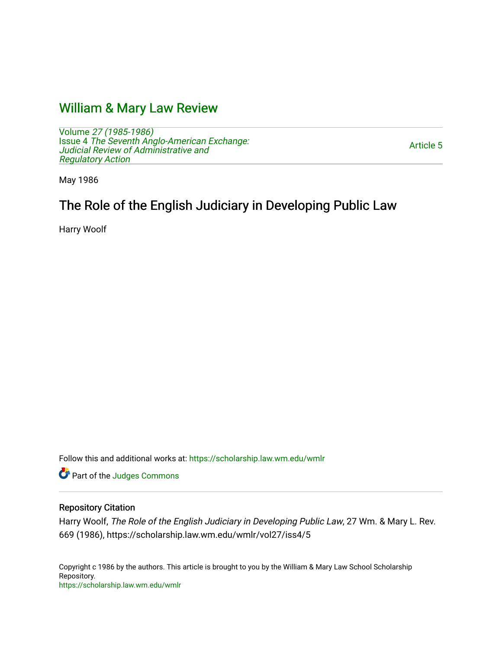# [William & Mary Law Review](https://scholarship.law.wm.edu/wmlr)

Volume [27 \(1985-1986\)](https://scholarship.law.wm.edu/wmlr/vol27)  Issue 4 [The Seventh Anglo-American Exchange:](https://scholarship.law.wm.edu/wmlr/vol27/iss4)  [Judicial Review of Administrative and](https://scholarship.law.wm.edu/wmlr/vol27/iss4) [Regulatory Action](https://scholarship.law.wm.edu/wmlr/vol27/iss4) 

[Article 5](https://scholarship.law.wm.edu/wmlr/vol27/iss4/5) 

May 1986

# The Role of the English Judiciary in Developing Public Law

Harry Woolf

Follow this and additional works at: [https://scholarship.law.wm.edu/wmlr](https://scholarship.law.wm.edu/wmlr?utm_source=scholarship.law.wm.edu%2Fwmlr%2Fvol27%2Fiss4%2F5&utm_medium=PDF&utm_campaign=PDFCoverPages)

Part of the [Judges Commons](http://network.bepress.com/hgg/discipline/849?utm_source=scholarship.law.wm.edu%2Fwmlr%2Fvol27%2Fiss4%2F5&utm_medium=PDF&utm_campaign=PDFCoverPages) 

### Repository Citation

Harry Woolf, The Role of the English Judiciary in Developing Public Law, 27 Wm. & Mary L. Rev. 669 (1986), https://scholarship.law.wm.edu/wmlr/vol27/iss4/5

Copyright c 1986 by the authors. This article is brought to you by the William & Mary Law School Scholarship Repository. <https://scholarship.law.wm.edu/wmlr>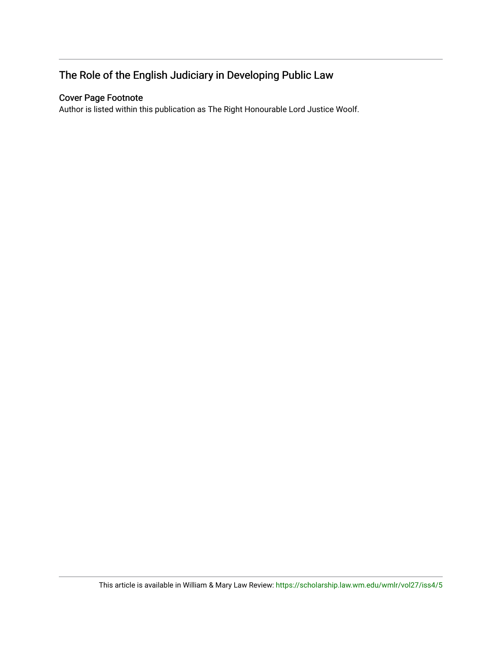# The Role of the English Judiciary in Developing Public Law

# Cover Page Footnote

Author is listed within this publication as The Right Honourable Lord Justice Woolf.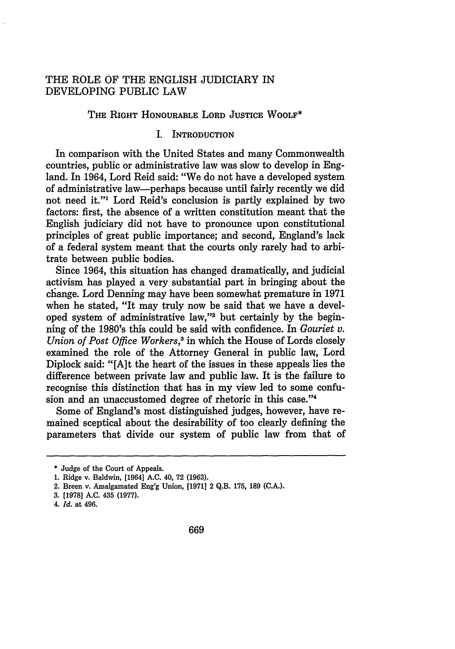### THE ROLE OF THE ENGLISH JUDICIARY IN DEVELOPING PUBLIC LAW

#### THE RIGHT HONOURABLE LORD JUSTICE WOOLF\*

#### I. INTRODUCTION

In comparison with the United States and many Commonwealth countries, public or administrative law was slow to develop in England. In 1964, Lord Reid said: "We do not have a developed system of administrative law-perhaps because until fairly recently we did not need it."' Lord Reid's conclusion is partly explained by two factors: first, the absence of a written constitution meant that the English judiciary did not have to pronounce upon constitutional principles of great public importance; and second, England's lack of a federal system meant that the courts only rarely had to arbitrate between public bodies.

Since 1964, this situation has changed dramatically, and judicial activism has played a very substantial part in bringing about the change. Lord Denning may have been somewhat premature in 1971 when he stated, "It may truly now be said that we have a developed system of administrative law,"2 but certainly by the beginning of the 1980's this could be said with confidence. In *Gouriet v. Union of Post Office Workers,'* in which the House of Lords closely examined the role of the Attorney General in public law, Lord Diplock said: "[A]t the heart of the issues in these appeals lies the difference between private law and public law. It is the failure to recognise this distinction that has in my view led to some confusion and an unaccustomed degree of rhetoric in this case."<sup>4</sup>

Some of England's most distinguished judges, however, have remained sceptical about the desirability of too clearly defining the parameters that divide our system of public law from that of

<sup>\*</sup> Judge of the Court of Appeals.

<sup>1.</sup> Ridge v. Baldwin, [1964] **A.C.** 40, 72 (1963).

<sup>2.</sup> Breen v. Amalgamated Eng'g Union, [1971] 2 Q.B. 175, **189** (C.A.).

<sup>3. [1978]</sup> **A.C.** 435 (1977).

<sup>4.</sup> *Id.* at 496.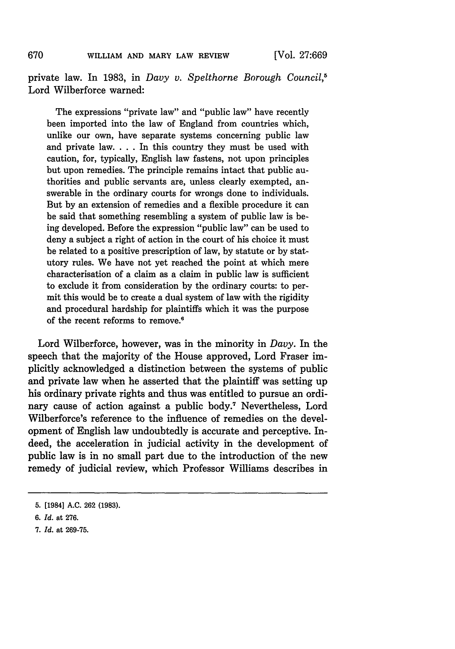private law. In 1983, in *Davy v. Spelthorne Borough Council,5* Lord Wilberforce warned:

The expressions "private law" and "public law" have recently been imported into the law of England from countries which, unlike our own, have separate systems concerning public law and private law. . . . In this country they must be used with caution, for, typically, English law fastens, not upon principles but upon remedies. The principle remains intact that public authorities and public servants are, unless clearly exempted, answerable in the ordinary courts for wrongs done to individuals. But by an extension of remedies and a flexible procedure it can be said that something resembling a system of public law is being developed. Before the expression "public law" can be used to deny a subject a right of action in the court of his choice it must be related to a positive prescription of law, by statute or by statutory rules. We have not yet reached the point at which mere characterisation of a claim as a claim in public law is sufficient to exclude it from consideration by the ordinary courts: to permit this would be to create a dual system of law with the rigidity and procedural hardship for plaintiffs which it was the purpose of the recent reforms to remove.'

Lord Wilberforce, however, was in the minority in *Davy.* In the speech that the majority of the House approved, Lord Fraser implicitly acknowledged a distinction between the systems of public and private law when he asserted that the plaintiff was setting up his ordinary private rights and thus was entitled to pursue an ordinary cause of action against a public body.<sup>7</sup> Nevertheless, Lord Wilberforce's reference to the influence of remedies on the development of English law undoubtedly is accurate and perceptive. Indeed, the acceleration in judicial activity in the development of public law is in no small part due to the introduction of the new remedy of judicial review, which Professor Williams describes in

670

**<sup>5. [1984]</sup> A.C. 262 (1983).**

*<sup>6.</sup> Id.* at **276.**

*<sup>7.</sup> Id.* at **269-75.**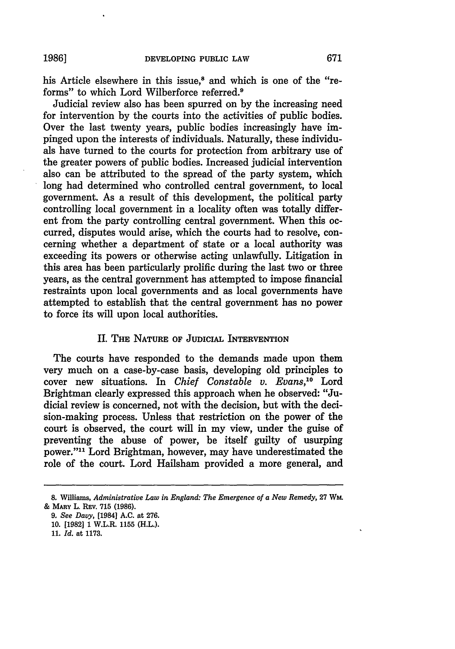his Article elsewhere in this issue,<sup>8</sup> and which is one of the "reforms" to which Lord Wilberforce referred.9

Judicial review also has been spurred on **by** the increasing need for intervention **by** the courts into the activities of public bodies. Over the last twenty years, public bodies increasingly have impinged upon the interests of individuals. Naturally, these individuals have turned to the courts for protection from arbitrary use of the greater powers of public bodies. Increased judicial intervention also can be attributed to the spread of the party system, which long had determined who controlled central government, to local government. As a result of this development, the political party controlling local government in a locality often was totally different from the party controlling central government. When this occurred, disputes would arise, which the courts had to resolve, concerning whether a department of state or a local authority was exceeding its powers or otherwise acting unlawfully. Litigation in this area has been particularly prolific during the last two or three years, as the central government has attempted to impose financial restraints upon local governments and as local governments have attempted to establish that the central government has no power to force its will upon local authorities.

#### II. THE **NATURE** OF **JUDICIAL** INTERVENTION

The courts have responded to the demands made upon them very much on a case-by-case basis, developing old principles to cover new situations. In *Chief Constable v. Evans,10* Lord Brightman clearly expressed this approach when he observed: "Judicial review is concerned, not with the decision, but with the decision-making process. Unless that restriction on the power of the court is observed, the court will in my view, under the guise of preventing the abuse of power, be itself guilty of usurping power."11 Lord Brightman, however, may have underestimated the role of the court. Lord Hailsham provided a more general, and

<sup>8.</sup> Williams, *Administrative Law in England: The Emergence of a New Remedy, 27 Wm.* & MARY L. REV. **715 (1986).**

*<sup>9.</sup> See Davy,* [1984] **A.C.** at **276. 10. [1982] 1** W.L.R. **1155** (H.L.).

**<sup>11.</sup>** *Id.* at **1173.**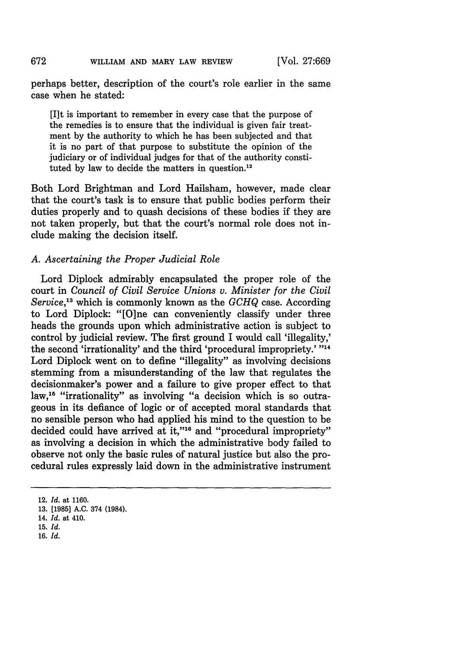perhaps better, description of the court's role earlier in the same case when he stated:

[Ilt is important to remember in every case that the purpose of the remedies is to ensure that the individual is given fair treatment by the authority to which he has been subjected and that it is no part of that purpose to substitute the opinion of the judiciary or of individual judges for that of the authority constituted by law to decide the matters in question.<sup>12</sup>

Both Lord Brightman and Lord Hailsham, however, made clear that the court's task is to ensure that public bodies perform their duties properly and to quash decisions of these bodies if they are not taken properly, but that the court's normal role does not include making the decision itself.

#### *A. Ascertaining the Proper Judicial Role*

Lord Diplock admirably encapsulated the proper role of the court in *Council of Civil Service Unions v. Minister for the Civil Service,13* which is commonly known as the *GCHQ* case. According to Lord Diplock: "[O]ne can conveniently classify under three heads the grounds upon which administrative action is subject to control by judicial review. The first ground I would call 'illegality,' the second 'irrationality' and the third 'procedural impropriety.' "14" Lord Diplock went on to define "illegality" as involving decisions stemming from a misunderstanding of the law that regulates the decisionmaker's power and a failure to give proper effect to that law,15 "irrationality" as involving "a decision which is so outrageous in its defiance of logic or of accepted moral standards that no sensible person who had applied his mind to the question to be decided could have arrived at it,"<sup>16</sup> and "procedural impropriety" as involving a decision in which the administrative body failed to observe not only the basic rules of natural justice but also the procedural rules expressly laid down in the administrative instrument

**16.** *Id.*

<sup>12.</sup> *Id.* at **1160.**

**<sup>13. [1985]</sup> A.C.** 374 (1984).

<sup>14.</sup> *Id.* at 410.

**<sup>15.</sup>** *Id.*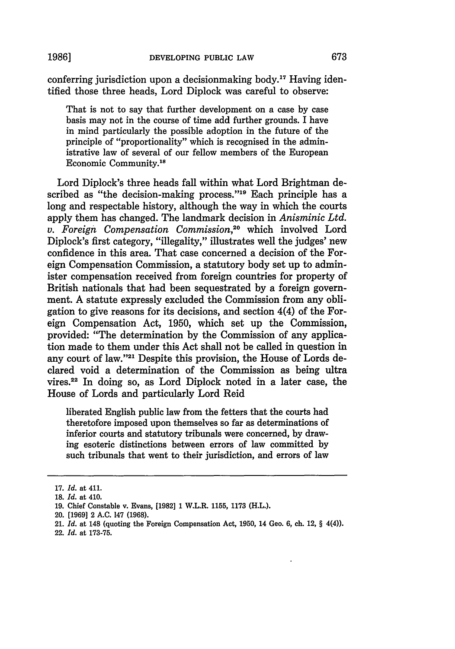**19861**

conferring jurisdiction upon a decisionmaking body.<sup>17</sup> Having identified those three heads, Lord Diplock was careful to observe:

That is not to say that further development on a case by case basis may not in the course of time add further grounds. I have in mind particularly the possible adoption in the future of the principle of "proportionality" which is recognised in the administrative law of several of our fellow members of the European Economic Community.<sup>18</sup>

Lord Diplock's three heads fall within what Lord Brightman described as "the decision-making process."<sup>19</sup> Each principle has a long and respectable history, although the way in which the courts apply them has changed. The landmark decision in *Anisminic Ltd. v. Foreign Compensation Commission*,<sup>20</sup> which involved Lord Diplock's first category, "illegality," illustrates well the judges' new confidence in this area. That case concerned a decision of the Foreign Compensation Commission, a statutory body set up to administer compensation received from foreign countries for property of British nationals that had been sequestrated by a foreign government. A statute expressly excluded the Commission from any obligation to give reasons for its decisions, and section 4(4) of the Foreign Compensation Act, 1950, which set up the Commission, provided: "The determination by the Commission of any application made to them under this Act shall not be called in question in any court of law."<sup>21</sup> Despite this provision, the House of Lords declared void a determination of the Commission as being ultra vires. 22 In doing so, as Lord Diplock noted in a later case, the House of Lords and particularly Lord Reid

liberated English public law from the fetters that the courts had theretofore imposed upon themselves so far as determinations of inferior courts and statutory tribunals were concerned, by drawing esoteric distinctions between errors of law committed by such tribunals that went to their jurisdiction, and errors of law

<sup>17.</sup> *Id.* at 411.

**<sup>18.</sup>** *Id.* at 410.

<sup>19.</sup> Chief Constable v. Evans, [1982] 1 W.L.R. 1155, 1173 (H.L.).

<sup>20. [1969] 2</sup> A.C. 147 (1968).

<sup>21.</sup> *Id.* at 148 (quoting the Foreign Compensation Act, 1950, 14 Geo. 6, ch. 12, § 4(4)).

<sup>22.</sup> *Id.* at 173-75.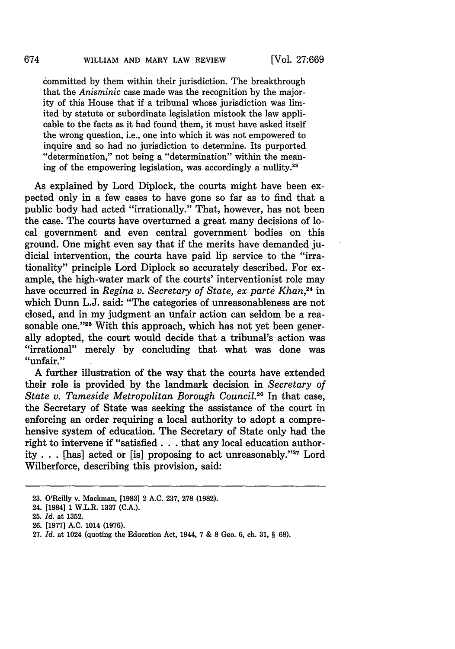committed by them within their jurisdiction. The breakthrough that the *Anisminic* case made was the recognition by the majority of this House that if a tribunal whose jurisdiction was limited by statute or subordinate legislation mistook the law applicable to the facts as it had found them, it must have asked itself the wrong question, i.e., one into which it was not empowered to inquire and so had no jurisdiction to determine. Its purported "determination," not being a "determination" within the meaning of the empowering legislation, was accordingly a nullity.2"

As explained by Lord Diplock, the courts might have been expected only in a few cases to have gone so far as to find that a public body had acted "irrationally." That, however, has not been the case. The courts have overturned a great many decisions of local government and even central government bodies on this ground. One might even say that if the merits have demanded judicial intervention, the courts have paid lip service to the "irrationality" principle Lord Diplock so accurately described. For example, the high-water mark of the courts' interventionist role may have occurred in *Regina v. Secretary of State, ex parte Khan,24* in which Dunn L.J. said: "The categories of unreasonableness are not closed, and in my judgment an unfair action can seldom be a reasonable one."<sup>25</sup> With this approach, which has not yet been generally adopted, the court would decide that a tribunal's action was "irrational" merely by concluding that what was done was "unfair."

A further illustration of the way that the courts have extended their role is provided by the landmark decision in *Secretary of State v. Tameside Metropolitan Borough Council.26* In that case, the Secretary of State was seeking the assistance of the court in enforcing an order requiring a local authority to adopt a comprehensive system of education. The Secretary of State only had the right to intervene if "satisfied. **.** . that any local education authority **..** . [has] acted or [is] proposing to act unreasonably. '27 Lord Wilberforce, describing this provision, said:

<sup>23.</sup> O'Reilly v. Mackman, [1983] 2 A.C. 237, 278 (1982).

<sup>24. [1984] 1</sup> W.L.R. 1337 (C.A.).

<sup>25.</sup> *Id.* at 1352.

**<sup>26.</sup>** [1977] **A.C.** 1014 **(1976).**

<sup>27.</sup> *Id.* at 1024 (quoting the Education Act, 1944, 7 & **8** Geo. 6, ch. 31, § 68).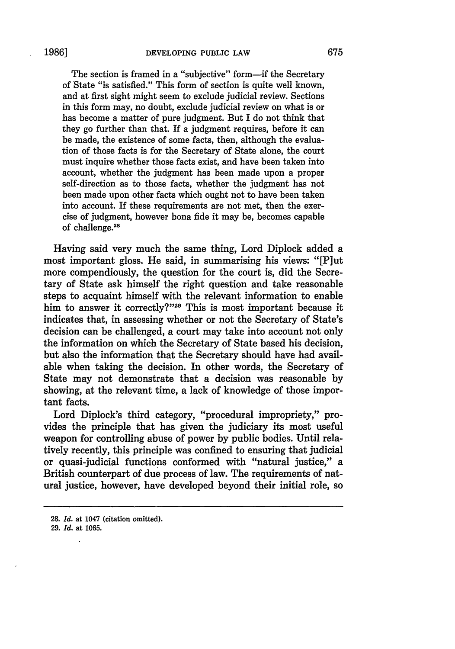The section is framed in a "subjective" form—if the Secretary of State "is satisfied." This form of section is quite well known, and at first sight might seem to exclude judicial review. Sections in this form may, no doubt, exclude judicial review on what is or has become a matter of pure judgment. But I do not think that they go further than that. If a judgment requires, before it can be made, the existence of some facts, then, although the evaluation of those facts is for the Secretary of State alone, the court must inquire whether those facts exist, and have been taken into account, whether the judgment has been made upon a proper self-direction as to those facts, whether the judgment has not been made upon other facts which ought not to have been taken into account. If these requirements are not met, then the exercise of judgment, however bona fide it may be, becomes capable of challenge.<sup>28</sup>

Having said very much the same thing, Lord Diplock added a most important gloss. He said, in summarising his views: "[Plut more compendiously, the question for the court is, did the Secretary of State ask himself the right question and take reasonable steps to acquaint himself with the relevant information to enable him to answer it correctly?"<sup>29</sup> This is most important because it indicates that, in assessing whether or not the Secretary of State's decision can be challenged, a court may take into account not only the information on which the Secretary of State based his decision, but also the information that the Secretary should have had available when taking the decision. In other words, the Secretary of State may not demonstrate that a decision was reasonable **by** showing, at the relevant time, a lack of knowledge of those important facts.

Lord Diplock's third category, "procedural impropriety," provides the principle that has given the judiciary its most useful weapon for controlling abuse of power **by** public bodies. Until relatively recently, this principle was confined to ensuring that judicial or quasi-judicial functions conformed with "natural justice," a British counterpart of due process of law. The requirements of natural justice, however, have developed beyond their initial role, so

**<sup>28.</sup>** *Id.* at 1047 (citation omitted).

**<sup>29.</sup>** *Id.* at **1065.** l.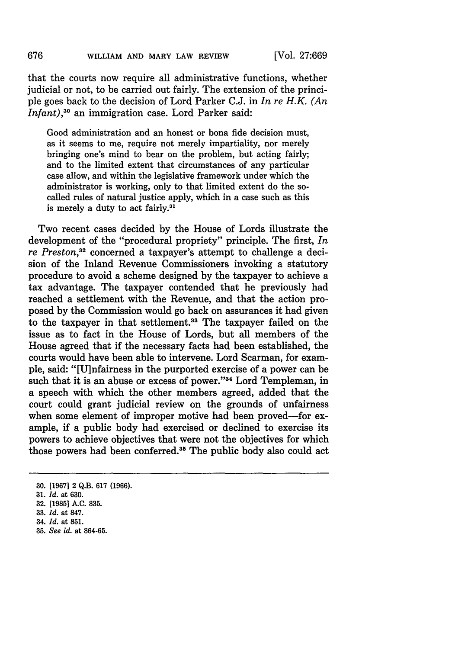that the courts now require all administrative functions, whether judicial or not, to be carried out fairly. The extension of the principle goes back to the decision of Lord Parker C.J. in *In re H.K. (An Infant*),<sup>30</sup> an immigration case. Lord Parker said:

Good administration and an honest or bona fide decision must, as it seems to me, require not merely impartiality, nor merely bringing one's mind to bear on the problem, but acting fairly; and to the limited extent that circumstances of any particular case allow, and within the legislative framework under which the administrator is working, only to that limited extent do the socalled rules of natural justice apply, which in a case such as this is merely a duty to act fairly.<sup>31</sup>

Two recent cases decided by the House of Lords illustrate the development of the "procedural propriety" principle. The first, *In re Preston,32* concerned a taxpayer's attempt to challenge a decision of the Inland Revenue Commissioners invoking a statutory procedure to avoid a scheme designed by the taxpayer to achieve a tax advantage. The taxpayer contended that he previously had reached a settlement with the Revenue, and that the action proposed by the Commission would go back on assurances it had given to the taxpayer in that settlement.<sup>33</sup> The taxpayer failed on the issue as to fact in the House of Lords, but all members of the House agreed that if the necessary facts had been established, the courts would have been able to intervene. Lord Scarman, for example, said: "[U]nfairness in the purported exercise of a power can be such that it is an abuse or excess of power."<sup>34</sup> Lord Templeman, in a speech with which the other members agreed, added that the court could grant judicial review on the grounds of unfairness when some element of improper motive had been proved-for example, if a public body had exercised or declined to exercise its powers to achieve objectives that were not the objectives for which those powers had been conferred.<sup>35</sup> The public body also could act

**35.** *See id.* at **864-65.**

**<sup>30. [1967]</sup>** 2 **Q.B. 617 (1966).**

**<sup>31.</sup>** *Id.* at **630.**

**<sup>32. [1985]</sup> A.C. 835.**

**<sup>33.</sup>** *Id.* at **847.**

<sup>34.</sup> *Id.* at **851.**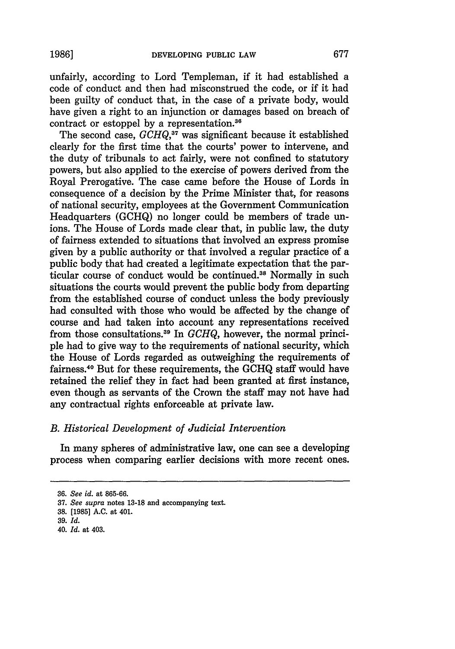unfairly, according to Lord Templeman, if it had established a code of conduct and then had misconstrued the code, or if it had been guilty of conduct that, in the case of a private body, would have given a right to an injunction or damages based on breach of contract or estoppel by a representation.<sup>36</sup>

The second case, *GCHQ,37* was significant because it established clearly for the first time that the courts' power to intervene, and the duty of tribunals to act fairly, were not confined to statutory powers, but also applied to the exercise of powers derived from the Royal Prerogative. The case came before the House of Lords in consequence of a decision by the Prime Minister that, for reasons of national security, employees at the Government Communication Headquarters (GCHQ) no longer could be members of trade unions. The House of Lords made clear that, in public law, the duty of fairness extended to situations that involved an express promise given by a public authority or that involved a regular practice of a public body that had created a legitimate expectation that the particular course of conduct would be continued.<sup>38</sup> Normally in such situations the courts would prevent the public body from departing from the established course of conduct unless the body previously had consulted with those who would be affected by the change of course and had taken into account any representations received from those consultations. 9 In *GCHQ,* however, the normal principle had to give way to the requirements of national security, which the House of Lords regarded as outweighing the requirements of fairness.40 But for these requirements, the GCHQ staff would have retained the relief they in fact had been granted at first instance, even though as servants of the Crown the staff may not have had any contractual rights enforceable at private law.

## *B. Historical Development of Judicial Intervention*

In many spheres of administrative law, one can see a developing process when comparing earlier decisions with more recent ones.

<sup>36.</sup> *See id.* at 865-66.

**<sup>37.</sup>** *See supra* notes 13-18 and accompanying text.

**<sup>38.</sup>** [1985] **A.C.** at 401.

**<sup>39.</sup>** *Id.*

<sup>40.</sup> *Id.* at 403.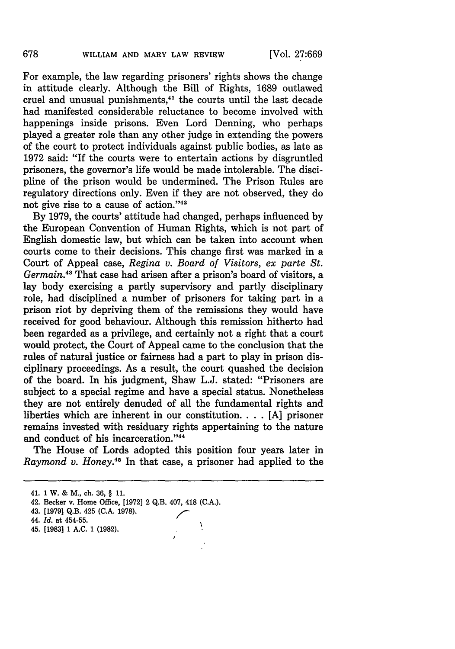For example, the law regarding prisoners' rights shows the change in attitude clearly. Although the Bill of Rights, 1689 outlawed cruel and unusual punishments,<sup>41</sup> the courts until the last decade had manifested considerable reluctance to become involved with happenings inside prisons. Even Lord Denning, who perhaps played a greater role than any other judge in extending the powers of the court to protect individuals against public bodies, as late as 1972 said: "If the courts were to entertain actions by disgruntled prisoners, the governor's life would be made intolerable. The discipline of the prison would be undermined. The Prison Rules are regulatory directions only. Even if they are not observed, they do not give rise to a cause of action."42

By 1979, the courts' attitude had changed, perhaps influenced by the European Convention of Human Rights, which is not part of English domestic law, but which can be taken into account when courts come to their decisions. This change first was marked in a Court of Appeal case, *Regina v. Board of Visitors, ex parte St. Germain.<sup>43</sup>* That case had arisen after a prison's board of visitors, a lay body exercising a partly supervisory and partly disciplinary role, had disciplined a number of prisoners for taking part in a prison riot by depriving them of the remissions they would have received for good behaviour. Although this remission hitherto had been regarded as a privilege, and certainly not a right that a court would protect, the Court of Appeal came to the conclusion that the rules of natural justice or fairness had a part to play in prison disciplinary proceedings. As a result, the court quashed the decision of the board. In his judgment, Shaw L.J. stated: "Prisoners are subject to a special regime and have a special status. Nonetheless they are not entirely denuded of all the fundamental rights and liberties which are inherent in our constitution. . **.** . [A] prisoner remains invested with residuary rights appertaining to the nature and conduct of his incarceration."<sup>44</sup>

The House of Lords adopted this position four years later in *Raymond v. Honey.45* In that case, a prisoner had applied to the

J.

45. [1983] 1 **A.C. 1 (1982).**

<sup>41. 1</sup> W. **&** M., ch. **36,** § **11.**

<sup>42.</sup> Becker v. Home Office, [1972] 2 Q.B. 407, 418 (C.A.).

**<sup>43. [1979]</sup> Q.B.** 425 **(C.A. 1978).**

*<sup>44.</sup> Id.* at 454-55.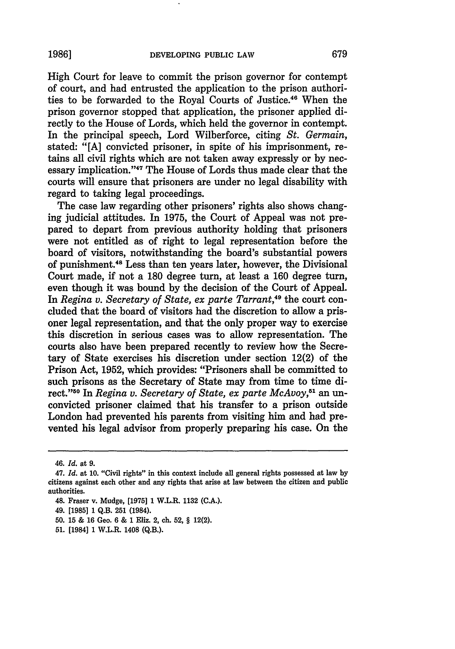High Court for leave to commit the prison governor for contempt of court, and had entrusted the application to the prison authorities to be forwarded to the Royal Courts of Justice.46 When the prison governor stopped that application, the prisoner applied directly to the House of Lords, which held the governor in contempt. In the principal speech, Lord Wilberforce, citing *St. Germain,* stated: **"[A]** convicted prisoner, in spite of his imprisonment, retains all civil rights which are not taken away expressly or **by** necessary implication. '47 The House of Lords thus made clear that the courts will ensure that prisoners are under no legal disability with regard to taking legal proceedings.

The case law regarding other prisoners' rights also shows changing judicial attitudes. In **1975,** the Court of Appeal was not prepared to depart from previous authority holding that prisoners were not entitled as of right to legal representation before the board of visitors, notwithstanding the board's substantial powers of punishment.48 Less than ten years later, however, the Divisional Court made, if not a **180** degree turn, at least a **160** degree turn, even though it was bound **by** the decision of the Court of Appeal. In *Regina v. Secretary of State, ex parte Tarrant*,<sup>49</sup> the court concluded that the board of visitors had the discretion to allow a prisoner legal representation, and that the only proper way to exercise this discretion in serious cases was to allow representation. The courts also have been prepared recently to review how the Secretary of State exercises his discretion under section 12(2) of the Prison Act, **1952,** which provides: "Prisoners shall be committed to such prisons as the Secretary of State may from time to time direct." 50 In *Regina v. Secretary of State, ex parte McAvoy,51* an unconvicted prisoner claimed that his transfer to a prison outside London had prevented his parents from visiting him and had prevented his legal advisor from properly preparing his case. On the

<sup>46.</sup> *Id.* at **9.**

<sup>47.</sup> *Id.* at **10.** "Civil rights" in this context include all general rights possessed at law **by** citizens against each other and any rights that arise at law between the citizen and public authorities.

<sup>48.</sup> Fraser v. Mudge, **[1975] 1 W.L.R. 1132 (C.A.).**

<sup>49. [1985]</sup> **1 Q.B. 251** (1984).

<sup>50. 15 &</sup>amp; 16 Geo. 6 & 1 Eliz. 2, ch. 52, § 12(2).

**<sup>51.</sup>** [1984] **1 W.L.R.** 1408 **(Q.B.).**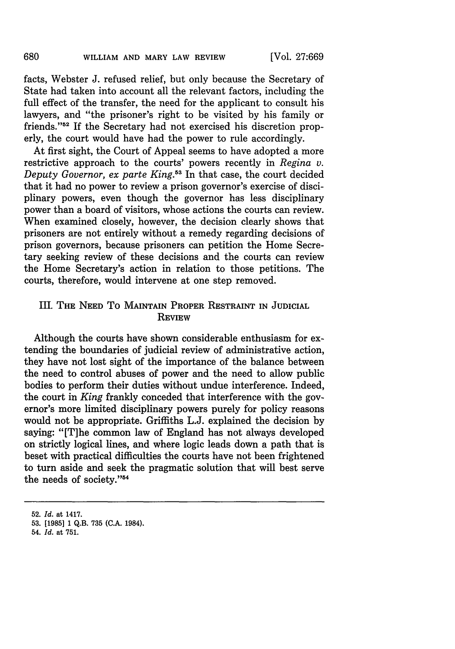facts, Webster J. refused relief, but only because the Secretary of State had taken into account all the relevant factors, including the full effect of the transfer, the need for the applicant to consult his lawyers, and "the prisoner's right to be visited by his family or friends."<sup>52</sup> If the Secretary had not exercised his discretion properly, the court would have had the power to rule accordingly.

At first sight, the Court of Appeal seems to have adopted a more restrictive approach to the courts' powers recently in *Regina v. Deputy Governor, ex parte King.53* In that case, the court decided that it had no power to review a prison governor's exercise of disciplinary powers, even though the governor has less disciplinary power than a board of visitors, whose actions the courts can review. When examined closely, however, the decision clearly shows that prisoners are not entirely without a remedy regarding decisions of prison governors, because prisoners can petition the Home Secretary seeking review of these decisions and the courts can review the Home Secretary's action in relation to those petitions. The courts, therefore, would intervene at one step removed.

#### III. THE **NEED** To MAINTAIN PROPER RESTRAINT **IN JUDICIAL REVIEW**

Although the courts have shown considerable enthusiasm for extending the boundaries of judicial review of administrative action, they have not lost sight of the importance of the balance between the need to control abuses of power and the need to allow public bodies to perform their duties without undue interference. Indeed, the court in *King* frankly conceded that interference with the governor's more limited disciplinary powers purely for policy reasons would not be appropriate. Griffiths L.J. explained the decision by saying: "[T]he common law of England has not always developed on strictly logical lines, and where logic leads down a path that is beset with practical difficulties the courts have not been frightened to turn aside and seek the pragmatic solution that will best serve the needs of society."<sup>5</sup>

**<sup>52.</sup>** *Id.* at 1417.

**<sup>53. [1985] 1</sup> Q.B. 735 (C.A.** 1984).

<sup>54.</sup> *Id.* at **751.**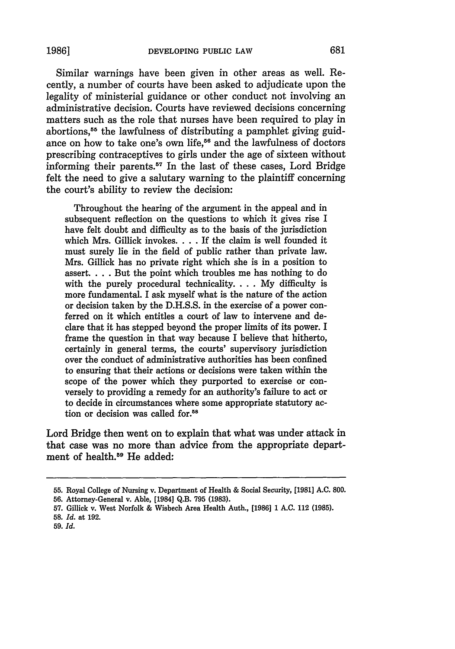**1986]**

Similar warnings have been given in other areas as well. Recently, a number of courts have been asked to adjudicate upon the legality of ministerial guidance or other conduct not involving an administrative decision. Courts have reviewed decisions concerning matters such as the role that nurses have been required to play in abortions, 55 the lawfulness of distributing a pamphlet giving guidance on how to take one's own life,<sup>56</sup> and the lawfulness of doctors prescribing contraceptives to girls under the age of sixteen without informing their parents. $57$  In the last of these cases, Lord Bridge felt the need to give a salutary warning to the plaintiff concerning the court's ability to review the decision:

Throughout the hearing of the argument in the appeal and in subsequent reflection on the questions to which it gives rise I have felt doubt and difficulty as to the basis of the jurisdiction which Mrs. Gillick invokes **....** If the claim is well founded it must surely lie in the field of public rather than private law. Mrs. Gillick has no private right which she is in a position to assert. . . . But the point which troubles me has nothing to do with the purely procedural technicality... My difficulty is more fundamental. I ask myself what is the nature of the action or decision taken by the D.H.S.S. in the exercise of a power conferred on it which entitles a court of law to intervene and declare that it has stepped beyond the proper limits of its power. I frame the question in that way because I believe that hitherto, certainly in general terms, the courts' supervisory jurisdiction over the conduct of administrative authorities has been confined to ensuring that their actions or decisions were taken within the scope of the power which they purported to exercise or conversely to providing a remedy for an authority's failure to act or to decide in circumstances where some appropriate statutory action or decision was called for.<sup>58</sup>

Lord Bridge then went on to explain that what was under attack in that case was no more than advice from the appropriate department of health.<sup>59</sup> He added:

**<sup>55.</sup>** Royal College of Nursing v. Department of Health & Social Security, **[1981] A.C. 800.**

**<sup>56.</sup>** Attorney-General v. Able, [1984] Q.B. 795 (1983).

<sup>57.</sup> Gillick v. West Norfolk & Wisbech Area Health Auth., [1986] 1 A.C. 112 **(1985).**

**<sup>58.</sup>** *Id.* at 192.

**<sup>59.</sup>** *Id.*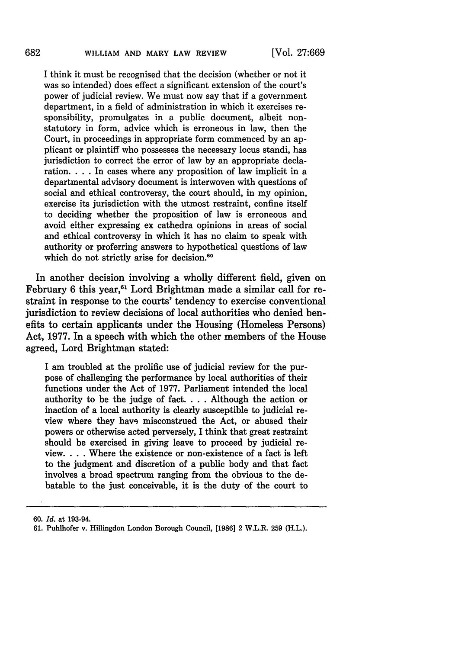I think it must be recognised that the decision (whether or not it was so intended) does effect a significant extension of the court's power of judicial review. We must now say that if a government department, in a field of administration in which it exercises responsibility, promulgates in a public document, albeit nonstatutory in form, advice which is erroneous in law, then the Court, in proceedings in appropriate form commenced by an applicant or plaintiff who possesses the necessary locus standi, has jurisdiction to correct the error of law by an appropriate declaration. . **.** . In cases where any proposition of law implicit in a departmental advisory document is interwoven with questions of social and ethical controversy, the court should, in my opinion, exercise its jurisdiction with the utmost restraint, confine itself to deciding whether the proposition of law is erroneous and avoid either expressing ex cathedra opinions in areas of social and ethical controversy in which it has no claim to speak with authority or proferring answers to hypothetical questions of law which do not strictly arise for decision.<sup>60</sup>

In another decision involving a wholly different field, given on February 6 this year,<sup>61</sup> Lord Brightman made a similar call for restraint in response to the courts' tendency to exercise conventional jurisdiction to review decisions of local authorities who denied benefits to certain applicants under the Housing (Homeless Persons) Act, 1977. In a speech with which the other members of the House agreed, Lord Brightman stated:

I am troubled at the prolific use of judicial review for the purpose of challenging the performance by local authorities of their functions under the Act of 1977. Parliament intended the local authority to be the judge of fact. . **.** . Although the action or inaction of a local authority is clearly susceptible to judicial review where they have misconstrued the Act, or abused their powers or otherwise acted perversely, I think that great restraint should be exercised in giving leave to proceed by judicial review. . **.** . Where the existence or non-existence of a fact is left to the judgment and discretion of a public body and that fact involves a broad spectrum ranging from the obvious to the debatable to the just conceivable, it is the duty of the court to

<sup>60.</sup> *Id.* at 193-94.

<sup>61.</sup> Puhlhofer v. Hillingdon London Borough Council, [1986] 2 W.L.R. 259 (H.L.).